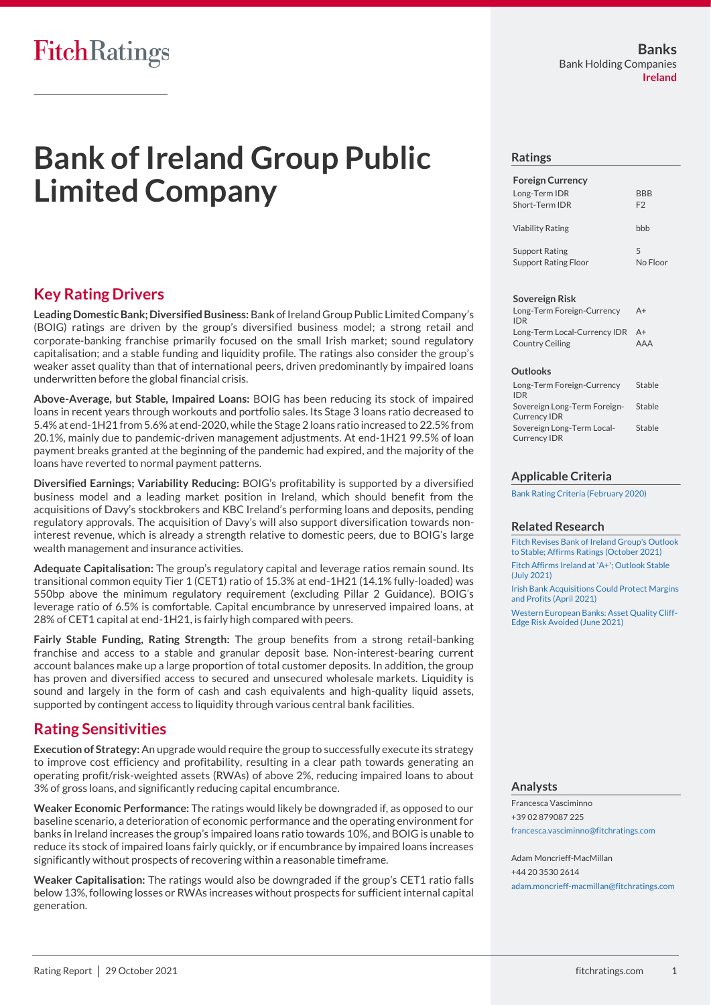# **Bank of Ireland Group Public Limited Company**

## **Key Rating Drivers**

**Leading Domestic Bank; Diversified Business:**Bank of Ireland Group Public Limited Company's (BOIG) ratings are driven by the group's diversified business model; a strong retail and corporate-banking franchise primarily focused on the small Irish market; sound regulatory capitalisation; and a stable funding and liquidity profile. The ratings also consider the group's weaker asset quality than that of international peers, driven predominantly by impaired loans underwritten before the global financial crisis.

**Above-Average, but Stable, Impaired Loans:** BOIG has been reducing its stock of impaired loans in recent years through workouts and portfolio sales. Its Stage 3 loans ratio decreased to 5.4% at end-1H21 from 5.6% at end-2020, while the Stage 2 loans ratio increased to 22.5% from 20.1%, mainly due to pandemic-driven management adjustments. At end-1H21 99.5% of loan payment breaks granted at the beginning of the pandemic had expired, and the majority of the loans have reverted to normal payment patterns.

**Diversified Earnings; Variability Reducing:** BOIG's profitability is supported by a diversified business model and a leading market position in Ireland, which should benefit from the acquisitions of Davy's stockbrokers and KBC Ireland's performing loans and deposits, pending regulatory approvals. The acquisition of Davy's will also support diversification towards noninterest revenue, which is already a strength relative to domestic peers, due to BOIG's large wealth management and insurance activities.

**Adequate Capitalisation:** The group's regulatory capital and leverage ratios remain sound. Its transitional common equity Tier 1 (CET1) ratio of 15.3% at end-1H21 (14.1% fully-loaded) was 550bp above the minimum regulatory requirement (excluding Pillar 2 Guidance). BOIG's leverage ratio of 6.5% is comfortable. Capital encumbrance by unreserved impaired loans, at 28% of CET1 capital at end-1H21, is fairly high compared with peers.

**Fairly Stable Funding, Rating Strength:** The group benefits from a strong retail-banking franchise and access to a stable and granular deposit base. Non-interest-bearing current account balances make up a large proportion of total customer deposits. In addition, the group has proven and diversified access to secured and unsecured wholesale markets. Liquidity is sound and largely in the form of cash and cash equivalents and high-quality liquid assets, supported by contingent access to liquidity through various central bank facilities.

## **Rating Sensitivities**

**Execution of Strategy:** An upgrade would require the group to successfully execute its strategy to improve cost efficiency and profitability, resulting in a clear path towards generating an operating profit/risk-weighted assets (RWAs) of above 2%, reducing impaired loans to about 3% of gross loans, and significantly reducing capital encumbrance.

**Weaker Economic Performance:** The ratings would likely be downgraded if, as opposed to our baseline scenario, a deterioration of economic performance and the operating environment for banks in Ireland increases the group's impaired loans ratio towards 10%, and BOIG is unable to reduce its stock of impaired loans fairly quickly, or if encumbrance by impaired loans increases significantly without prospects of recovering within a reasonable timeframe.

**Weaker Capitalisation:** The ratings would also be downgraded if the group's CET1 ratio falls below 13%, following losses or RWAs increases without prospects for sufficient internal capital generation.

#### **Ratings**

| <b>Foreign Currency</b><br>Long-Term IDR<br>Short-Term IDR | <b>BBB</b><br>F <sub>2</sub> |
|------------------------------------------------------------|------------------------------|
| <b>Viability Rating</b>                                    | hhh                          |
| <b>Support Rating</b><br><b>Support Rating Floor</b>       | 5<br>No Floor                |

#### **Sovereign Risk**

| Long-Term Foreign-Currency      | $A+$       |
|---------------------------------|------------|
| <b>IDR</b>                      |            |
| Long-Term Local-Currency IDR A+ |            |
| Country Ceiling                 | <b>AAA</b> |

#### **Outlooks**

| Long-Term Foreign-Currency<br><b>IDR</b>            | Stable |
|-----------------------------------------------------|--------|
| Sovereign Long-Term Foreign-<br><b>Currency IDR</b> | Stable |
| Sovereign Long-Term Local-<br><b>Currency IDR</b>   | Stable |

#### **Applicable Criteria**

[Bank Rating Criteria \(February 2020\)](https://app.fitchconnect.com/search/research/article/FR_RPT_10110041)

#### **Related Research**

[Fitch Revises Bank of Ireland Group's Outlook](https://app.fitchconnect.com/search/research/article/FR_PR_10179394)  [to Stable; Affirms Ratings \(October 2021\)](https://app.fitchconnect.com/search/research/article/FR_PR_10179394) [Fitch Affirms Ireland at 'A+'; Outlook Stable](https://app.fitchconnect.com/search/research/article/FR_PR_10171677)  [\(July 2021\)](https://app.fitchconnect.com/search/research/article/FR_PR_10171677) [Irish Bank Acquisitions Could Protect Margins](https://app.fitchconnect.com/search/research/article/FR_PR_10159955)  [and Profits \(April 2021\)](https://app.fitchconnect.com/search/research/article/FR_PR_10159955) [Western European Banks: Asset Quality Cliff-](https://app.fitchconnect.com/search/research/article/FR_RPT_10167590)[Edge Risk Avoided \(June 2021\)](https://app.fitchconnect.com/search/research/article/FR_RPT_10167590)

#### **Analysts**

Francesca Vasciminno +39 02 879087 225 [francesca.vasciminno@fitchratings.com](mailto:francesca.vasciminno@fitchratings.com)

Adam Moncrieff-MacMillan +44 20 3530 2614 [adam.moncrieff-macmillan@fitchratings.com](mailto:adam.moncrieff-macmillan@fitchratings.com)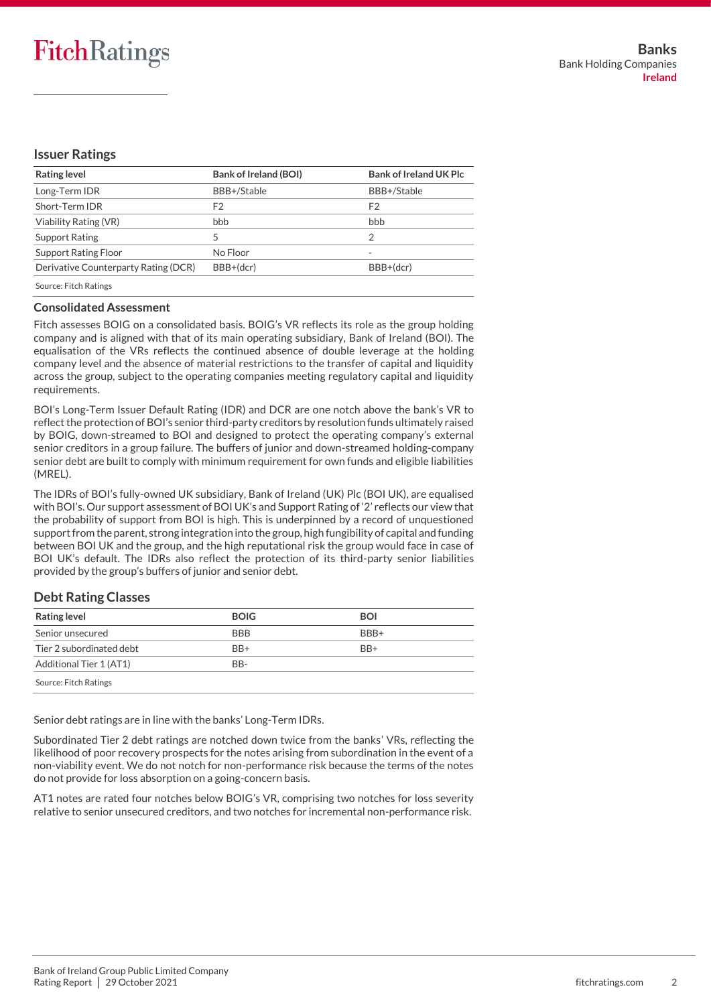## **Issuer Ratings**

| <b>Rating level</b>                  | <b>Bank of Ireland (BOI)</b> | <b>Bank of Ireland UK Plc</b> |
|--------------------------------------|------------------------------|-------------------------------|
| Long-Term IDR                        | BBB+/Stable                  | BBB+/Stable                   |
| Short-Term IDR                       | F2                           | F2                            |
| Viability Rating (VR)                | bbb                          | bbb                           |
| Support Rating                       |                              | 2                             |
| <b>Support Rating Floor</b>          | No Floor                     | $\overline{\phantom{a}}$      |
| Derivative Counterparty Rating (DCR) | BBB+(dcr)                    | BBB+(dcr)                     |
|                                      |                              |                               |

Source: Fitch Ratings

## **Consolidated Assessment**

Fitch assesses BOIG on a consolidated basis. BOIG's VR reflects its role as the group holding company and is aligned with that of its main operating subsidiary, Bank of Ireland (BOI). The equalisation of the VRs reflects the continued absence of double leverage at the holding company level and the absence of material restrictions to the transfer of capital and liquidity across the group, subject to the operating companies meeting regulatory capital and liquidity requirements.

BOI's Long-Term Issuer Default Rating (IDR) and DCR are one notch above the bank's VR to reflect the protection of BOI's senior third-party creditors by resolution funds ultimately raised by BOIG, down-streamed to BOI and designed to protect the operating company's external senior creditors in a group failure. The buffers of junior and down-streamed holding-company senior debt are built to comply with minimum requirement for own funds and eligible liabilities (MREL).

The IDRs of BOI's fully-owned UK subsidiary, Bank of Ireland (UK) Plc (BOI UK), are equalised with BOI's. Our support assessment of BOI UK's and Support Rating of '2' reflects our view that the probability of support from BOI is high. This is underpinned by a record of unquestioned support from the parent, strong integration into the group, high fungibility of capital and funding between BOI UK and the group, and the high reputational risk the group would face in case of BOI UK's default. The IDRs also reflect the protection of its third-party senior liabilities provided by the group's buffers of junior and senior debt.

## **Debt Rating Classes**

| <b>Rating level</b>      | <b>BOIG</b>      | <b>BOI</b> |
|--------------------------|------------------|------------|
| Senior unsecured         | <b>BBB</b>       | BBB+       |
| Tier 2 subordinated debt | $BB+$            | $BB+$      |
| Additional Tier 1 (AT1)  | B <sub>B</sub> - |            |
| Source: Fitch Ratings    |                  |            |

Senior debt ratings are in line with the banks' Long-Term IDRs.

Subordinated Tier 2 debt ratings are notched down twice from the banks' VRs, reflecting the likelihood of poor recovery prospects for the notes arising from subordination in the event of a non-viability event. We do not notch for non-performance risk because the terms of the notes do not provide for loss absorption on a going-concern basis.

AT1 notes are rated four notches below BOIG's VR, comprising two notches for loss severity relative to senior unsecured creditors, and two notches for incremental non-performance risk.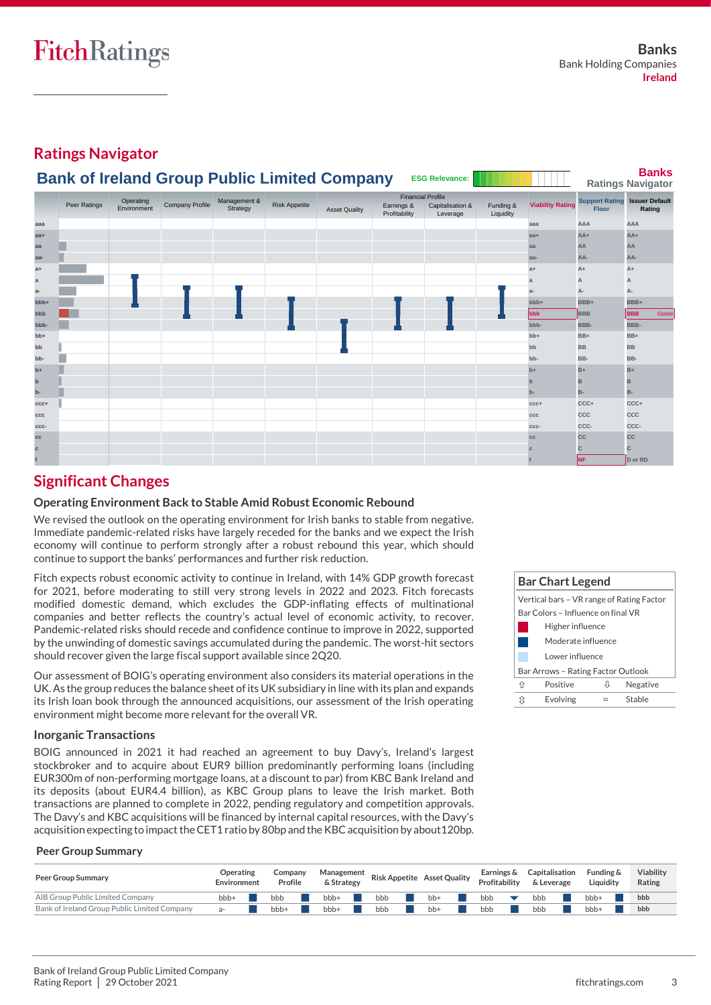#### **Ratings Navigator Banks Ratings Navigator aaa aaa AAA AAA** Stable **aa+ aa+ AA+ AA+** Stable **aa aa AA AA** Stable **aa- aa- AA- AA-** Stable **a+ a+ A+ A+** Stable **a a A A** Stable **a- a- A- A-** Stable **bbb+ bbb+ BBB+ BBB+** Stable **bbb bbb BBB BBB** Stable **bbb- bbb- BBB- BBB-** Stable **bb+ bb+ BB+ BB+** Stable **bb bb BB BB** Stable **bb- bb- BB- BB-** Stable **b+ b+ B+ B+** Stable **b b B B** Stable **b- b- B- B-** Stable **ccc+ ccc+ CCC+ CCC+** Stable **ccc ccc CCC CCC** Stable **ccc- ccc- CCC- CCC-** Stable **cc cc CC CC** Stable **c c C C** Stable **f f NF D or RD** Stable Peer Ratings Operating Company Profile Management & Peer Ratings Environment Environment **Issuer Default Profile**<br>Capitalisation & Funding & Viability Rating Support Rating Issuer Def **Leverage Risk Appetite**<br>Risk Appetite **Support Rating Support Rating Support Rating Support Rating** Asset Quality **Farnings & Capitalisation & Funding & Viability Rating Theor**<br>Asset Quality Profitability Leverage Liquidity Financial Profile Funding & **Liquidity Bank of Ireland Group Public Limited Company ESG Relevance:**

## **Significant Changes**

## **Operating Environment Back to Stable Amid Robust Economic Rebound**

We revised the outlook on the operating environment for Irish banks to stable from negative. Immediate pandemic-related risks have largely receded for the banks and we expect the Irish economy will continue to perform strongly after a robust rebound this year, which should continue to support the banks' performances and further risk reduction.

Fitch expects robust economic activity to continue in Ireland, with 14% GDP growth forecast for 2021, before moderating to still very strong levels in 2022 and 2023. Fitch forecasts modified domestic demand, which excludes the GDP-inflating effects of multinational companies and better reflects the country's actual level of economic activity, to recover. Pandemic-related risks should recede and confidence continue to improve in 2022, supported by the unwinding of domestic savings accumulated during the pandemic. The worst-hit sectors should recover given the large fiscal support available since 2Q20.

Our assessment of BOIG's operating environment also considers its material operations in the UK. As the group reduces the balance sheet of its UK subsidiary in line with its plan and expands its Irish loan book through the announced acquisitions, our assessment of the Irish operating environment might become more relevant for the overall VR.

## **Inorganic Transactions**

BOIG announced in 2021 it had reached an agreement to buy Davy's, Ireland's largest stockbroker and to acquire about EUR9 billion predominantly performing loans (including EUR300m of non-performing mortgage loans, at a discount to par) from KBC Bank Ireland and its deposits (about EUR4.4 billion), as KBC Group plans to leave the Irish market. Both transactions are planned to complete in 2022, pending regulatory and competition approvals. The Davy's and KBC acquisitions will be financed by internal capital resources, with the Davy's acquisition expecting to impact the CET1 ratio by 80bp and the KBC acquisition by about120bp.



#### **Peer Group Summary**

| <b>Peer Group Summary</b>                    | Operating<br>Environment | Company<br>Profile | Management Risk Appetite Asset Quality<br>& Strategy |     |     | Earnings &<br>Profitability | Capitalisation<br>& Leverage | Funding &<br>Liauidity | Viability<br>Rating |
|----------------------------------------------|--------------------------|--------------------|------------------------------------------------------|-----|-----|-----------------------------|------------------------------|------------------------|---------------------|
| AIB Group Public Limited Company             | bbb+                     | bbb                | bbb-                                                 | bbb | bb- | bbb                         | bbb                          | bb <sub>b+</sub>       | bbb                 |
| Bank of Ireland Group Public Limited Company | а-                       | bbb+               | bbb+                                                 | bbb | bb+ | bbb                         | bbb                          | bbb+                   | bbb                 |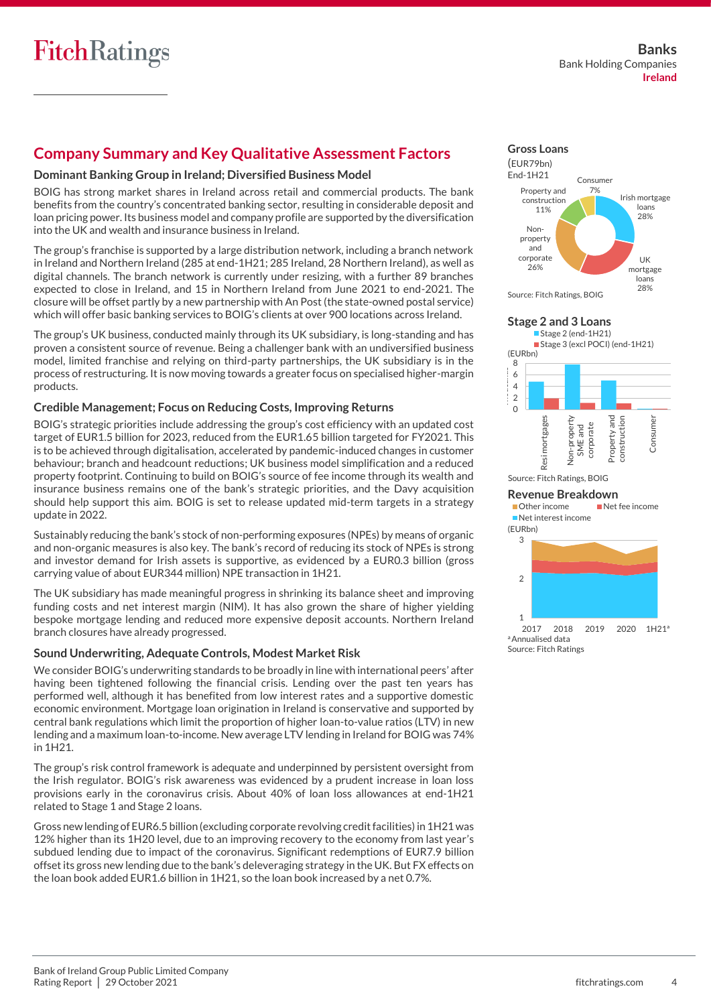## **Company Summary and Key Qualitative Assessment Factors**

## **Dominant Banking Group in Ireland; Diversified Business Model**

BOIG has strong market shares in Ireland across retail and commercial products. The bank benefits from the country's concentrated banking sector, resulting in considerable deposit and loan pricing power. Its business model and company profile are supported by the diversification into the UK and wealth and insurance business in Ireland.

The group's franchise is supported by a large distribution network, including a branch network in Ireland and Northern Ireland (285 at end-1H21; 285 Ireland, 28 Northern Ireland), as well as digital channels. The branch network is currently under resizing, with a further 89 branches expected to close in Ireland, and 15 in Northern Ireland from June 2021 to end-2021. The closure will be offset partly by a new partnership with An Post (the state-owned postal service) which will offer basic banking services to BOIG's clients at over 900 locations across Ireland.

The group's UK business, conducted mainly through its UK subsidiary, is long-standing and has proven a consistent source of revenue. Being a challenger bank with an undiversified business model, limited franchise and relying on third-party partnerships, the UK subsidiary is in the process of restructuring. It is now moving towards a greater focus on specialised higher-margin products.

## **Credible Management; Focus on Reducing Costs, Improving Returns**

BOIG's strategic priorities include addressing the group's cost efficiency with an updated cost target of EUR1.5 billion for 2023, reduced from the EUR1.65 billion targeted for FY2021. This is to be achieved through digitalisation, accelerated by pandemic-induced changes in customer behaviour; branch and headcount reductions; UK business model simplification and a reduced property footprint. Continuing to build on BOIG's source of fee income through its wealth and insurance business remains one of the bank's strategic priorities, and the Davy acquisition should help support this aim. BOIG is set to release updated mid-term targets in a strategy update in 2022.

Sustainably reducing the bank's stock of non-performing exposures (NPEs) by means of organic and non-organic measures is also key. The bank's record of reducing its stock of NPEs is strong and investor demand for Irish assets is supportive, as evidenced by a EUR0.3 billion (gross carrying value of about EUR344 million) NPE transaction in 1H21.

The UK subsidiary has made meaningful progress in shrinking its balance sheet and improving funding costs and net interest margin (NIM). It has also grown the share of higher yielding bespoke mortgage lending and reduced more expensive deposit accounts. Northern Ireland branch closures have already progressed.

## **Sound Underwriting, Adequate Controls, Modest Market Risk**

We consider BOIG's underwriting standards to be broadly in line with international peers' after having been tightened following the financial crisis. Lending over the past ten years has performed well, although it has benefited from low interest rates and a supportive domestic economic environment. Mortgage loan origination in Ireland is conservative and supported by central bank regulations which limit the proportion of higher loan-to-value ratios (LTV) in new lending and a maximum loan-to-income. New average LTV lending in Ireland for BOIG was 74% in 1H21.

The group's risk control framework is adequate and underpinned by persistent oversight from the Irish regulator. BOIG's risk awareness was evidenced by a prudent increase in loan loss provisions early in the coronavirus crisis. About 40% of loan loss allowances at end-1H21 related to Stage 1 and Stage 2 loans.

Gross new lending of EUR6.5 billion (excluding corporate revolving credit facilities) in 1H21 was 12% higher than its 1H20 level, due to an improving recovery to the economy from last year's subdued lending due to impact of the coronavirus. Significant redemptions of EUR7.9 billion offset its gross new lending due to the bank's deleveraging strategy in the UK. But FX effects on the loan book added EUR1.6 billion in 1H21, so the loan book increased by a net 0.7%.

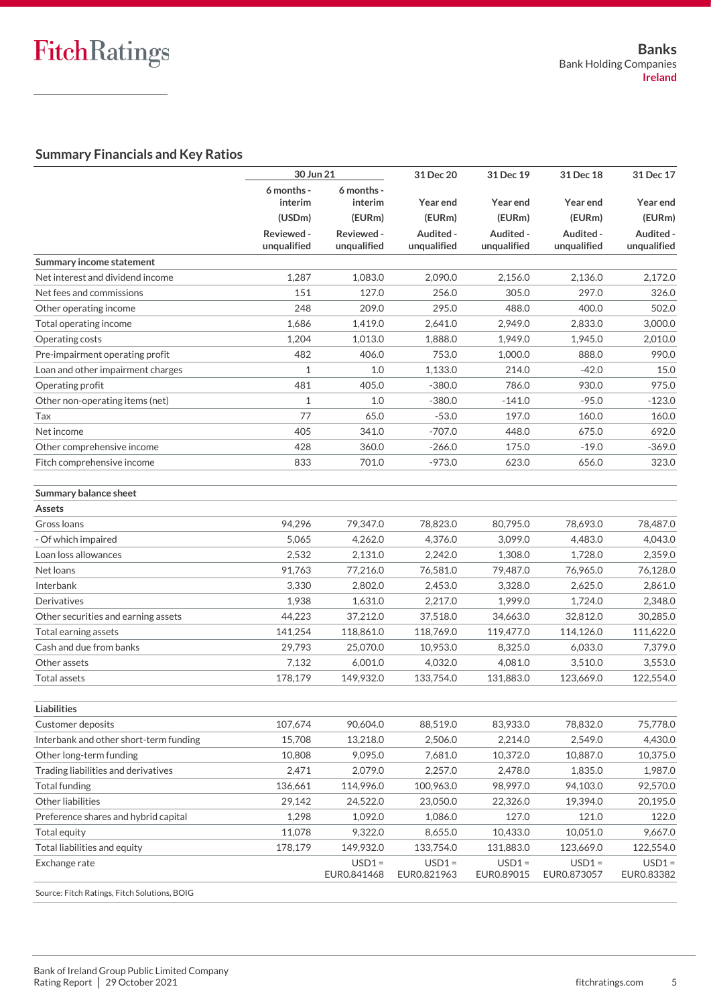## **Summary Financials and Key Ratios**

|                                              | 30 Jun 21                 |                           | 31 Dec 20                | 31 Dec 19                | 31 Dec 18                | 31 Dec 17                |  |  |
|----------------------------------------------|---------------------------|---------------------------|--------------------------|--------------------------|--------------------------|--------------------------|--|--|
|                                              | 6 months -<br>interim     | 6 months -<br>interim     | Year end                 | Year end                 | Year end                 | Year end                 |  |  |
|                                              | (USDm)                    | (EURm)                    | (EURm)                   | (EURm)                   | (EURm)                   | (EURm)                   |  |  |
|                                              | Reviewed -<br>unqualified | Reviewed -<br>unqualified | Audited -<br>unqualified | Audited -<br>unqualified | Audited -<br>unqualified | Audited -<br>unqualified |  |  |
| Summary income statement                     |                           |                           |                          |                          |                          |                          |  |  |
| Net interest and dividend income             | 1,287                     | 1,083.0                   | 2,090.0                  | 2,156.0                  | 2,136.0                  | 2,172.0                  |  |  |
| Net fees and commissions                     | 151                       | 127.0                     | 256.0                    | 305.0                    | 297.0                    | 326.0                    |  |  |
| Other operating income                       | 248                       | 209.0                     | 295.0                    | 488.0                    | 400.0                    | 502.0                    |  |  |
| Total operating income                       | 1,686                     | 1,419.0                   | 2,641.0                  | 2,949.0                  | 2,833.0                  | 3,000.0                  |  |  |
| Operating costs                              | 1,204                     | 1,013.0                   | 1,888.0                  | 1,949.0                  | 1,945.0                  | 2,010.0                  |  |  |
| Pre-impairment operating profit              | 482                       | 406.0                     | 753.0                    | 1,000.0                  | 888.0                    | 990.0                    |  |  |
| Loan and other impairment charges            | 1                         | 1.0                       | 1,133.0                  | 214.0                    | $-42.0$                  | 15.0                     |  |  |
| Operating profit                             | 481                       | 405.0                     | $-380.0$                 | 786.0                    | 930.0                    | 975.0                    |  |  |
| Other non-operating items (net)              | 1                         | $1.0$                     | $-380.0$                 | $-141.0$                 | $-95.0$                  | $-123.0$                 |  |  |
| Tax                                          | 77                        | 65.0                      | $-53.0$                  | 197.0                    | 160.0                    | 160.0                    |  |  |
| Net income                                   | 405                       | 341.0                     | $-707.0$                 | 448.0                    | 675.0                    | 692.0                    |  |  |
| Other comprehensive income                   | 428                       | 360.0                     | $-266.0$                 | 175.0                    | $-19.0$                  | $-369.0$                 |  |  |
| Fitch comprehensive income                   | 833                       | 701.0                     | $-973.0$                 | 623.0                    | 656.0                    | 323.0                    |  |  |
| Summary balance sheet                        |                           |                           |                          |                          |                          |                          |  |  |
| <b>Assets</b>                                |                           |                           |                          |                          |                          |                          |  |  |
| Gross Ioans                                  | 94,296                    | 79,347.0                  | 78,823.0                 | 80,795.0                 | 78,693.0                 | 78,487.0                 |  |  |
| Of which impaired                            | 5,065                     | 4,262.0                   | 4,376.0                  | 3,099.0                  | 4,483.0                  | 4,043.0                  |  |  |
| Loan loss allowances                         | 2,532                     | 2,131.0                   | 2,242.0                  | 1,308.0                  | 1,728.0                  | 2,359.0                  |  |  |
| Net loans                                    | 91,763                    | 77,216.0                  | 76,581.0                 | 79,487.0                 | 76,965.0                 | 76,128.0                 |  |  |
| Interbank                                    | 3,330                     | 2,802.0                   | 2,453.0                  | 3,328.0                  | 2,625.0                  | 2,861.0                  |  |  |
| Derivatives                                  | 1,938                     | 1,631.0                   | 2,217.0                  | 1,999.0                  | 1,724.0                  | 2,348.0                  |  |  |
| Other securities and earning assets          | 44,223                    | 37,212.0                  | 37,518.0                 | 34,663.0                 | 32,812.0                 | 30,285.0                 |  |  |
| Total earning assets                         | 141,254                   | 118,861.0                 | 118,769.0                | 119,477.0                | 114,126.0                | 111,622.0                |  |  |
| Cash and due from banks                      | 29,793                    | 25,070.0                  | 10,953.0                 | 8,325.0                  | 6,033.0                  | 7,379.0                  |  |  |
| Other assets                                 | 7,132                     | 6,001.0                   | 4,032.0                  | 4,081.0                  | 3,510.0                  | 3,553.0                  |  |  |
| <b>Total assets</b>                          | 178,179                   | 149,932.0                 | 133,754.0                | 131,883.0                | 123,669.0                | 122,554.0                |  |  |
| <b>Liabilities</b>                           |                           |                           |                          |                          |                          |                          |  |  |
| Customer deposits                            | 107,674                   | 90,604.0                  | 88,519.0                 | 83,933.0                 | 78,832.0                 | 75,778.0                 |  |  |
| Interbank and other short-term funding       | 15,708                    | 13,218.0                  | 2,506.0                  | 2,214.0                  | 2,549.0                  | 4,430.0                  |  |  |
| Other long-term funding                      | 10,808                    | 9,095.0                   | 7,681.0                  | 10,372.0                 | 10,887.0                 | 10,375.0                 |  |  |
| Trading liabilities and derivatives          | 2,471                     | 2,079.0                   | 2,257.0                  | 2,478.0                  | 1,835.0                  | 1,987.0                  |  |  |
| <b>Total funding</b>                         | 136,661                   | 114,996.0                 | 100,963.0                | 98,997.0                 | 94,103.0                 | 92,570.0                 |  |  |
| Other liabilities                            | 29,142                    | 24,522.0                  | 23,050.0                 | 22,326.0                 | 19,394.0                 | 20,195.0                 |  |  |
| Preference shares and hybrid capital         | 1,298                     | 1,092.0                   | 1,086.0                  | 127.0                    | 121.0                    | 122.0                    |  |  |
| Total equity                                 | 11,078                    | 9,322.0                   | 8,655.0                  | 10,433.0                 | 10,051.0                 | 9,667.0                  |  |  |
| Total liabilities and equity                 | 178,179                   | 149,932.0                 | 133,754.0                | 131,883.0                | 123,669.0                | 122,554.0                |  |  |
| Exchange rate                                |                           | $USD1 =$<br>EUR0.841468   | $USD1 =$<br>EUR0.821963  | $USD1 =$<br>EUR0.89015   | $USD1 =$<br>EUR0.873057  | $USD1 =$<br>EUR0.83382   |  |  |
| Source: Fitch Ratings, Fitch Solutions, BOIG |                           |                           |                          |                          |                          |                          |  |  |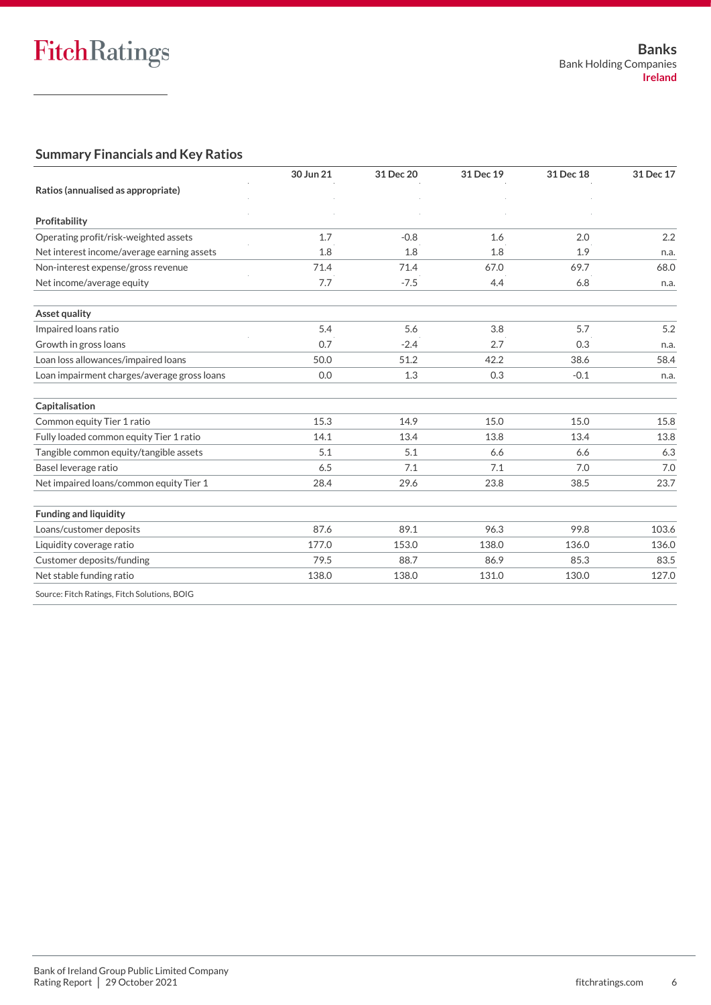## **Summary Financials and Key Ratios**

|                                              | 30 Jun 21 | 31 Dec 20 | 31 Dec 19 | 31 Dec 18 | 31 Dec 17 |  |
|----------------------------------------------|-----------|-----------|-----------|-----------|-----------|--|
| Ratios (annualised as appropriate)           |           |           |           |           |           |  |
|                                              |           |           |           |           |           |  |
| Profitability                                |           |           |           |           |           |  |
| Operating profit/risk-weighted assets        | 1.7       | $-0.8$    | 1.6       | 2.0       | 2.2       |  |
| Net interest income/average earning assets   | 1.8       | 1.8       | 1.8       | 1.9       | n.a.      |  |
| Non-interest expense/gross revenue           | 71.4      | 71.4      | 67.0      | 69.7      | 68.0      |  |
| Net income/average equity                    | 7.7       | $-7.5$    | 4.4       | 6.8       | n.a.      |  |
| Asset quality                                |           |           |           |           |           |  |
| Impaired loans ratio                         | 5.4       | 5.6       | 3.8       | 5.7       | 5.2       |  |
| Growth in gross loans                        | 0.7       | $-2.4$    | 2.7       | 0.3       | n.a.      |  |
| Loan loss allowances/impaired loans          | 50.0      | 51.2      | 42.2      | 38.6      | 58.4      |  |
| Loan impairment charges/average gross loans  | 0.0       | 1.3       | 0.3       | $-0.1$    | n.a.      |  |
| Capitalisation                               |           |           |           |           |           |  |
| Common equity Tier 1 ratio                   | 15.3      | 14.9      | 15.0      | 15.0      | 15.8      |  |
| Fully loaded common equity Tier 1 ratio      | 14.1      | 13.4      | 13.8      | 13.4      | 13.8      |  |
| Tangible common equity/tangible assets       | 5.1       | 5.1       | 6.6       | 6.6       | 6.3       |  |
| Basel leverage ratio                         | 6.5       | 7.1       | 7.1       | 7.0       | 7.0       |  |
| Net impaired loans/common equity Tier 1      | 28.4      | 29.6      | 23.8      | 38.5      | 23.7      |  |
| <b>Funding and liquidity</b>                 |           |           |           |           |           |  |
| Loans/customer deposits                      | 87.6      | 89.1      | 96.3      | 99.8      | 103.6     |  |
| Liquidity coverage ratio                     | 177.0     | 153.0     | 138.0     | 136.0     | 136.0     |  |
| Customer deposits/funding                    | 79.5      | 88.7      | 86.9      | 85.3      | 83.5      |  |
| Net stable funding ratio                     | 138.0     | 138.0     | 131.0     | 130.0     | 127.0     |  |
| Source: Fitch Ratings, Fitch Solutions, BOIG |           |           |           |           |           |  |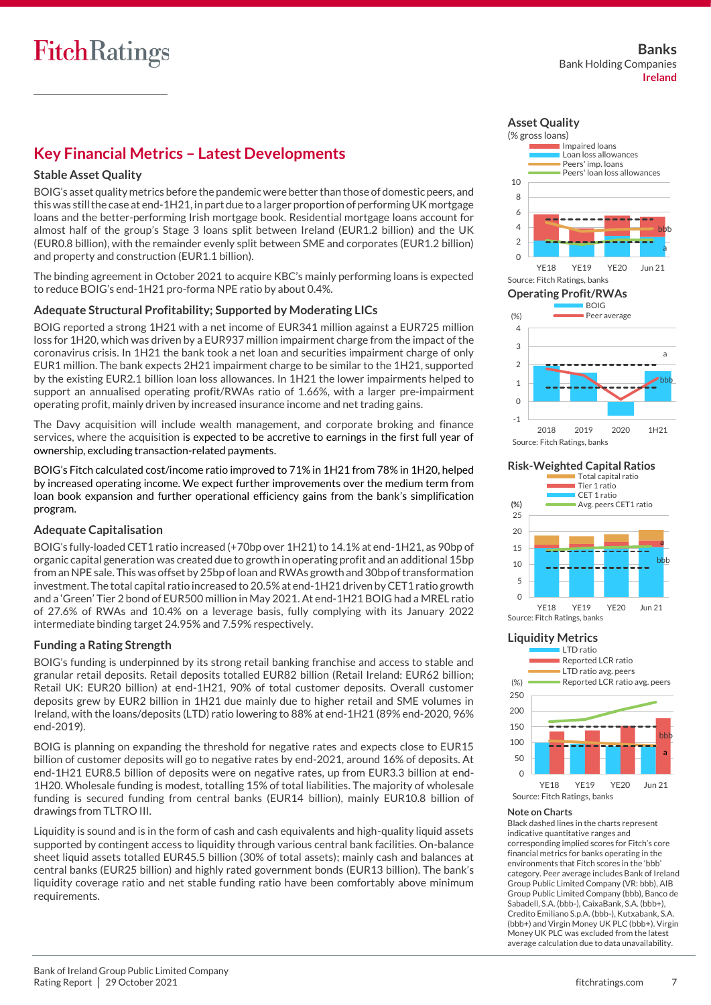## **Key Financial Metrics – Latest Developments**

## **Stable Asset Quality**

BOIG's asset quality metrics before the pandemic were better than those of domestic peers, and thiswas still the case at end-1H21, in part due to a larger proportion of performing UK mortgage loans and the better-performing Irish mortgage book. Residential mortgage loans account for almost half of the group's Stage 3 loans split between Ireland (EUR1.2 billion) and the UK (EUR0.8 billion), with the remainder evenly split between SME and corporates (EUR1.2 billion) and property and construction (EUR1.1 billion).

The binding agreement in October 2021 to acquire KBC's mainly performing loans is expected to reduce BOIG's end-1H21 pro-forma NPE ratio by about 0.4%.

## **Adequate Structural Profitability; Supported by Moderating LICs**

BOIG reported a strong 1H21 with a net income of EUR341 million against a EUR725 million loss for 1H20, which was driven by a EUR937 million impairment charge from the impact of the coronavirus crisis. In 1H21 the bank took a net loan and securities impairment charge of only EUR1 million. The bank expects 2H21 impairment charge to be similar to the 1H21, supported by the existing EUR2.1 billion loan loss allowances. In 1H21 the lower impairments helped to support an annualised operating profit/RWAs ratio of 1.66%, with a larger pre-impairment operating profit, mainly driven by increased insurance income and net trading gains.

The Davy acquisition will include wealth management, and corporate broking and finance services, where the acquisition is expected to be accretive to earnings in the first full year of ownership, excluding transaction-related payments.

BOIG's Fitch calculated cost/income ratio improved to 71% in 1H21 from 78% in 1H20, helped by increased operating income. We expect further improvements over the medium term from loan book expansion and further operational efficiency gains from the bank's simplification program.

## **Adequate Capitalisation**

BOIG's fully-loaded CET1 ratio increased (+70bp over 1H21) to 14.1% at end-1H21, as 90bp of organic capital generation was created due to growth in operating profit and an additional 15bp from an NPE sale. This was offset by 25bp of loan and RWAs growth and 30bp of transformation investment. The total capital ratio increased to 20.5% at end-1H21 driven by CET1 ratio growth and a 'Green' Tier 2 bond of EUR500 million in May 2021. At end-1H21 BOIG had a MREL ratio of 27.6% of RWAs and 10.4% on a leverage basis, fully complying with its January 2022 intermediate binding target 24.95% and 7.59% respectively.

## **Funding a Rating Strength**

BOIG's funding is underpinned by its strong retail banking franchise and access to stable and granular retail deposits. Retail deposits totalled EUR82 billion (Retail Ireland: EUR62 billion; Retail UK: EUR20 billion) at end-1H21, 90% of total customer deposits. Overall customer deposits grew by EUR2 billion in 1H21 due mainly due to higher retail and SME volumes in Ireland, with the loans/deposits (LTD) ratio lowering to 88% at end-1H21 (89% end-2020, 96% end-2019).

BOIG is planning on expanding the threshold for negative rates and expects close to EUR15 billion of customer deposits will go to negative rates by end-2021, around 16% of deposits. At end-1H21 EUR8.5 billion of deposits were on negative rates, up from EUR3.3 billion at end-1H20. Wholesale funding is modest, totalling 15% of total liabilities. The majority of wholesale funding is secured funding from central banks (EUR14 billion), mainly EUR10.8 billion of drawings from TLTRO III.

Liquidity is sound and is in the form of cash and cash equivalents and high-quality liquid assets supported by contingent access to liquidity through various central bank facilities. On-balance sheet liquid assets totalled EUR45.5 billion (30% of total assets); mainly cash and balances at central banks (EUR25 billion) and highly rated government bonds (EUR13 billion). The bank's liquidity coverage ratio and net stable funding ratio have been comfortably above minimum requirements.





**Risk-Weighted Capital Ratios**



#### **Liquidity Metrics**



## **Note on Charts**

Black dashed lines in the charts represent indicative quantitative ranges and corresponding implied scores for Fitch's core financial metrics for banks operating in the environments that Fitch scores in the 'bbb' category. Peer average includes Bank of Ireland Group Public Limited Company (VR: bbb), AIB Group Public Limited Company (bbb), Banco de Sabadell, S.A. (bbb-), CaixaBank, S.A. (bbb+), Credito Emiliano S.p.A. (bbb-), Kutxabank, S.A. (bbb+) and Virgin Money UK PLC (bbb+). Virgin Money UK PLC was excluded from the latest average calculation due to data unavailability.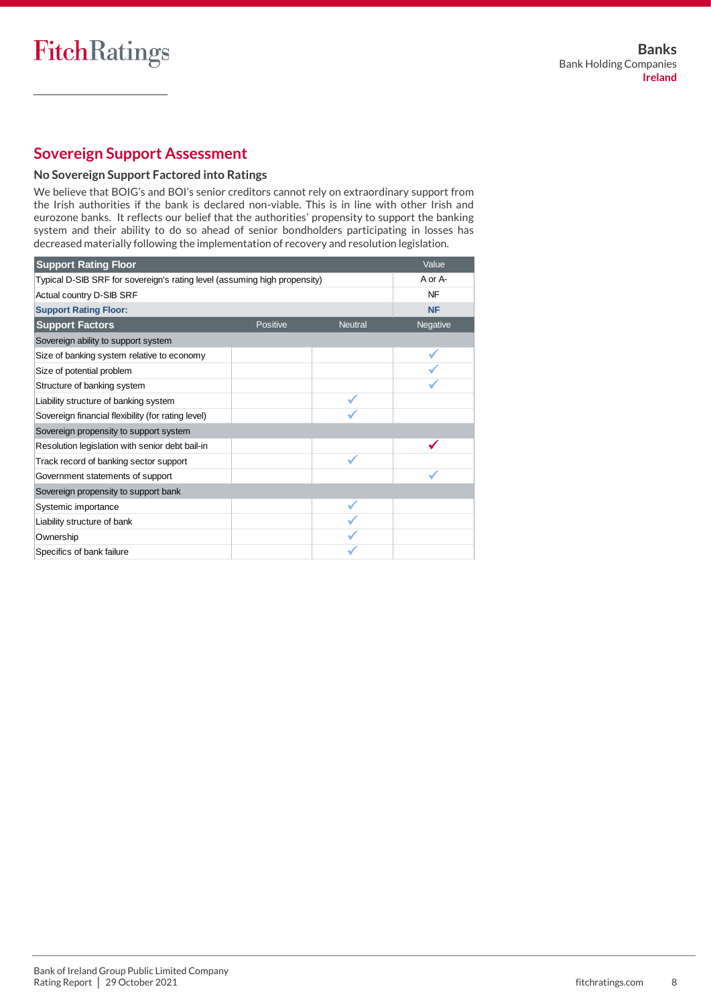## **Sovereign Support Assessment**

## **No Sovereign Support Factored into Ratings**

We believe that BOIG's and BOI's senior creditors cannot rely on extraordinary support from the Irish authorities if the bank is declared non-viable. This is in line with other Irish and eurozone banks. It reflects our belief that the authorities' propensity to support the banking system and their ability to do so ahead of senior bondholders participating in losses has decreased materially following the implementation of recovery and resolution legislation.

| <b>Support Rating Floor</b>                                               |          |                | Value     |
|---------------------------------------------------------------------------|----------|----------------|-----------|
| Typical D-SIB SRF for sovereign's rating level (assuming high propensity) |          | A or A-        |           |
| Actual country D-SIB SRF                                                  |          |                | NF        |
| <b>Support Rating Floor:</b>                                              |          |                | <b>NF</b> |
| <b>Support Factors</b>                                                    | Positive | <b>Neutral</b> | Negative  |
| Sovereign ability to support system                                       |          |                |           |
| Size of banking system relative to economy                                |          |                |           |
| Size of potential problem                                                 |          |                |           |
| Structure of banking system                                               |          |                |           |
| Liability structure of banking system                                     |          |                |           |
| Sovereign financial flexibility (for rating level)                        |          |                |           |
| Sovereign propensity to support system                                    |          |                |           |
| Resolution legislation with senior debt bail-in                           |          |                |           |
| Track record of banking sector support                                    |          |                |           |
| Government statements of support                                          |          |                |           |
| Sovereign propensity to support bank                                      |          |                |           |
| Systemic importance                                                       |          |                |           |
| Liability structure of bank                                               |          |                |           |
| Ownership                                                                 |          |                |           |
| Specifics of bank failure                                                 |          |                |           |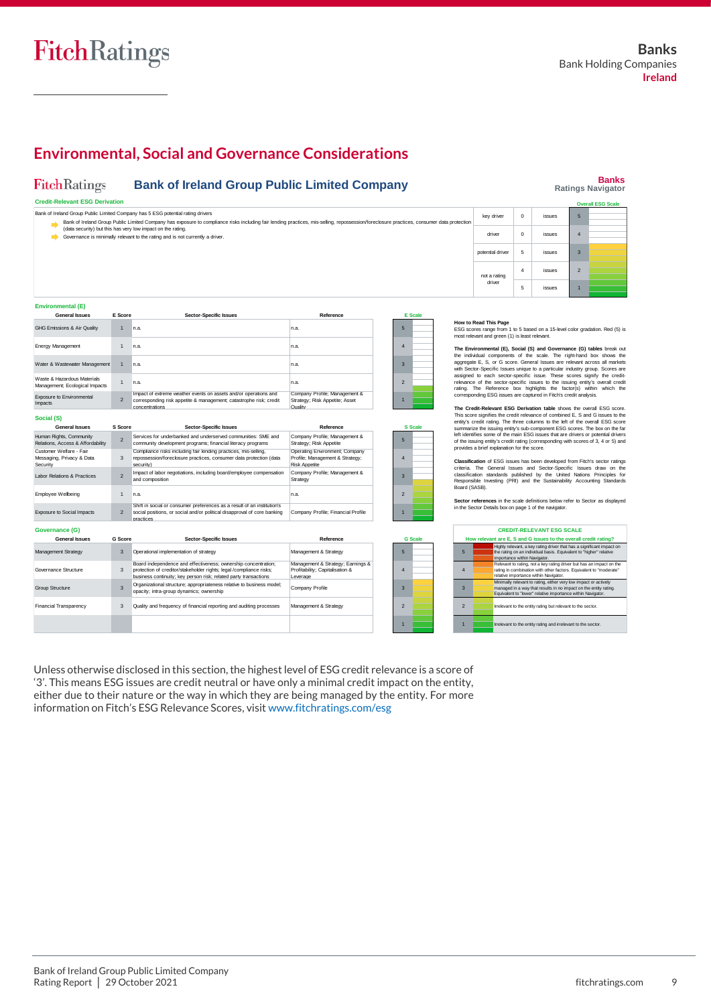## **Environmental, Social and Governance Considerations**

#### FitchRatings **Bank of Ireland Group Public Limited Company**

## **Banks Ratings Navigator**

| <b>Credit-Relevant ESG Derivation</b>                                                                                                                                                                                                                                        |                  |          |               |              |  |  |  |
|------------------------------------------------------------------------------------------------------------------------------------------------------------------------------------------------------------------------------------------------------------------------------|------------------|----------|---------------|--------------|--|--|--|
| Bank of Ireland Group Public Limited Company has 5 ESG potential rating drivers<br>Bank of Ireland Group Public Limited Company has exposure to compliance risks including fair lending practices, mis-selling, repossession/foreclosure practices, consumer data protection | key driver       | $\Omega$ | <b>issues</b> | <b>D</b>     |  |  |  |
| (data security) but this has very low impact on the rating.<br>Governance is minimally relevant to the rating and is not currently a driver.                                                                                                                                 | driver           | $\Omega$ | <b>issues</b> |              |  |  |  |
|                                                                                                                                                                                                                                                                              | potential driver |          | <b>issues</b> | $\mathbf{3}$ |  |  |  |
|                                                                                                                                                                                                                                                                              | not a rating     |          | issues        |              |  |  |  |
|                                                                                                                                                                                                                                                                              | driver           |          | <b>issues</b> |              |  |  |  |

#### **Environmental (E)**

| <b>General Issues</b>                                            | E Score        | <b>Sector-Specific Issues</b>                                                                                                                                                                             | Reference                                                                                 |                         | <b>E</b> Scale |
|------------------------------------------------------------------|----------------|-----------------------------------------------------------------------------------------------------------------------------------------------------------------------------------------------------------|-------------------------------------------------------------------------------------------|-------------------------|----------------|
| GHG Emissions & Air Quality                                      | 1              | n.a.                                                                                                                                                                                                      | n.a.                                                                                      | 5                       |                |
| Energy Management                                                | $\mathbf{1}$   | n.a.                                                                                                                                                                                                      | n.a.                                                                                      | $\overline{4}$          |                |
| Water & Wastewater Management                                    | $\mathbf{1}$   | n.a.                                                                                                                                                                                                      | n.a.                                                                                      | 3                       |                |
| Waste & Hazardous Materials<br>Management; Ecological Impacts    | $\mathbf{1}$   | n.a.                                                                                                                                                                                                      | n.a.                                                                                      | $\overline{2}$          |                |
| Exposure to Environmental<br>Impacts                             | $\overline{2}$ | Impact of extreme weather events on assets and/or operations and<br>corresponding risk appetite & management; catastrophe risk; credit<br>concentrations                                                  | Company Profile; Management &<br>Strategy; Risk Appetite; Asset<br>Quality                | 1                       |                |
| Social (S)                                                       |                |                                                                                                                                                                                                           |                                                                                           |                         |                |
| <b>General Issues</b>                                            | S Score        | <b>Sector-Specific Issues</b>                                                                                                                                                                             | Reference                                                                                 |                         | <b>S</b> Scale |
| Human Rights, Community<br>Relations, Access & Affordability     | $\overline{2}$ | Services for underbanked and underserved communities: SME and<br>community development programs; financial literacy programs                                                                              | Company Profile; Management &<br>Strategy; Risk Appetite                                  | 5                       |                |
| Customer Welfare - Fair<br>Messaging, Privacy & Data<br>Security | 3              | Compliance risks including fair lending practices, mis-selling,<br>repossession/foreclosure practices, consumer data protection (data<br>security)                                                        | Operating Environment; Company<br>Profile; Management & Strategy;<br><b>Risk Appetite</b> | $\overline{4}$          |                |
| Labor Relations & Practices                                      | $\overline{2}$ | Impact of labor negotiations, including board/employee compensation<br>and composition                                                                                                                    | Company Profile; Management &<br>Strategy                                                 | 3                       |                |
| Employee Wellbeing                                               | $\mathbf{1}$   | n.a.                                                                                                                                                                                                      | n.a.                                                                                      | $\overline{z}$          |                |
| <b>Exposure to Social Impacts</b>                                | $\overline{2}$ | Shift in social or consumer preferences as a result of an institution's<br>social positions, or social and/or political disapproval of core banking<br>practices                                          | Company Profile; Financial Profile                                                        | 1                       |                |
| Governance (G)                                                   |                |                                                                                                                                                                                                           |                                                                                           |                         |                |
| <b>General Issues</b>                                            | G Score        | <b>Sector-Specific Issues</b>                                                                                                                                                                             | Reference                                                                                 |                         | <b>G</b> Scale |
| <b>Management Strategy</b>                                       | 3              | Operational implementation of strategy                                                                                                                                                                    | Management & Strategy                                                                     | 5                       |                |
| Governance Structure                                             | 3              | Board independence and effectiveness; ownership concentration;<br>protection of creditor/stakeholder rights; legal /compliance risks;<br>business continuity; key person risk; related party transactions | Management & Strategy; Earnings &<br>Profitability; Capitalisation &<br>Leverage          | $\overline{\mathbf{A}}$ |                |
| Group Structure                                                  | 3              | Organizational structure; appropriateness relative to business model;<br>opacity; intra-group dynamics; ownership                                                                                         | Company Profile                                                                           | 3                       |                |
| Financial Transparency                                           | 3              | Quality and frequency of financial reporting and auditing processes                                                                                                                                       | Management & Strategy                                                                     | $\overline{2}$          |                |
|                                                                  |                |                                                                                                                                                                                                           |                                                                                           |                         |                |

Unless otherwise disclosed in this section, the highest level of ESG credit relevance is a score of '3'. This means ESG issues are credit neutral or have only a minimal credit impact on the entity, either due to their nature or the way in which they are being managed by the entity. For more information on Fitch's ESG Relevance Scores, visit [www.fitchratings.com/esg](http://www.fitchratings.com/esg)

**How to Read This Page**<br>ESG scores range from 1 to 5 based on a 15-level color gradation. Red (5) is most relevant and green (1) is least relevant.

The Environmental (E), Social (S) and Governance (G) tables break out<br>the individual components of the scale. The right-hand box shows the<br>aggregate E, S, or G score. General Issues are relevant across all markets<br>with Sec

The Credit-Relevant ESG Derivation table shows the overall ESG score.<br>This score signifies the credit relevance of combined E, S and G issues to the<br>entity's credit rating. The three columns to the left of the overall ESG

**Classification** of ESG issues has been developed from Fitch's sector ratings<br>criteria. The General Issues and Sector-Specific Issues draw on the<br>classification standards published by the United Nations Principles for<br>Resp Board (SASB).

**Sector references** in the scale definitions below refer to Sector as displayed in the Sector Details box on page 1 of the navigator.

| <b>CREDIT-RELEVANT ESG SCALE</b> |                                                                                                                                                                                                     |  |  |  |  |  |  |
|----------------------------------|-----------------------------------------------------------------------------------------------------------------------------------------------------------------------------------------------------|--|--|--|--|--|--|
|                                  | How relevant are E, S and G issues to the overall credit rating?                                                                                                                                    |  |  |  |  |  |  |
| 5                                | Highly relevant, a key rating driver that has a significant impact on<br>the rating on an individual basis. Equivalent to "higher" relative<br>importance within Navigator.                         |  |  |  |  |  |  |
| 4                                | Relevant to rating, not a key rating driver but has an impact on the<br>rating in combination with other factors. Equivalent to "moderate"<br>relative importance within Navigator.                 |  |  |  |  |  |  |
| 3                                | Minimally relevant to rating, either very low impact or actively<br>managed in a way that results in no impact on the entity rating.<br>Equivalent to "lower" relative importance within Navigator. |  |  |  |  |  |  |
| $\mathcal{P}$                    | Irrelevant to the entity rating but relevant to the sector.                                                                                                                                         |  |  |  |  |  |  |
|                                  | Irrelevant to the entity rating and irrelevant to the sector.                                                                                                                                       |  |  |  |  |  |  |